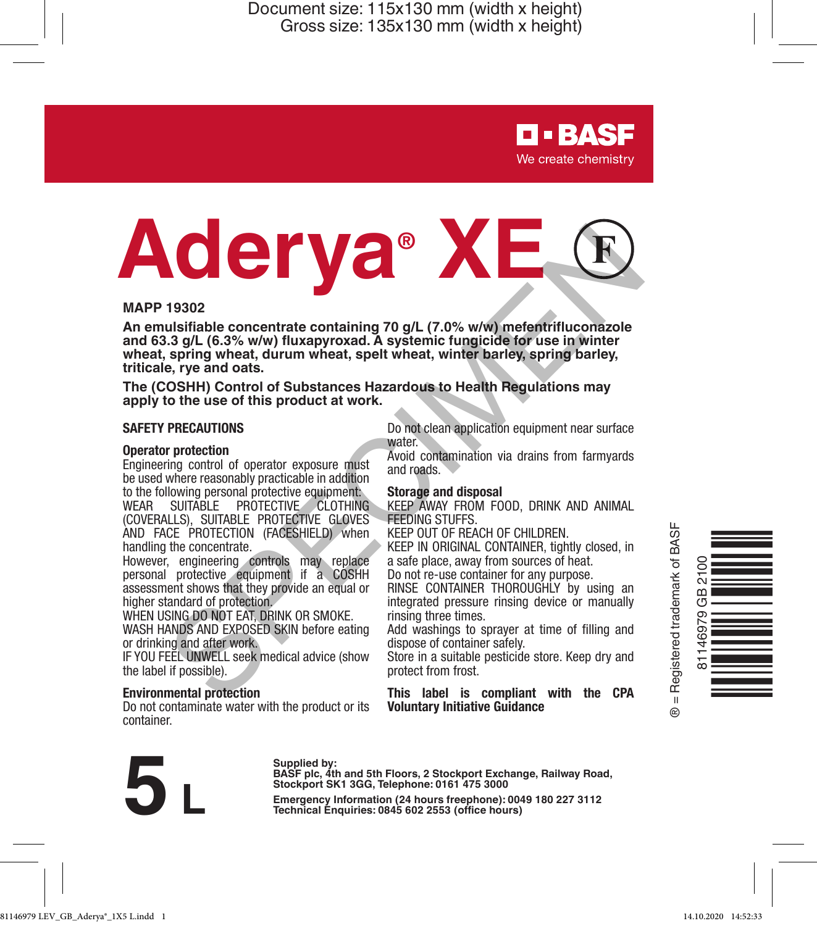> **D-BASF** We create chemistry

# MAPP 19302<br>
An emulsifiable concentrate containing 70 g/L (7.0% w/w) metertrifluconazole<br>
and 63.3 g/L (6.3% w/w) fluxapyroxad. A systemic fungicide for use in winter<br>
wheat, spring wheat, durum wheat, spelt wheat, winter

### **MAPP 19302**

**An emulsifiable concentrate containing 70 g/L (7.0% w/w) mefentrifluconazole and 63.3 g/L (6.3% w/w) fluxapyroxad. A systemic fungicide for use in winter wheat, spring wheat, durum wheat, spelt wheat, winter barley, spring barley, triticale, rye and oats.**

**The (COSHH) Control of Substances Hazardous to Health Regulations may apply to the use of this product at work.**

### **SAFETY PRECAUTIONS**

### **Operator protection**

Engineering control of operator exposure must be used where reasonably practicable in addition to the following personal protective equipment:

WEAR SUITABLE PROTECTIVE CLOTHING (COVERALLS), SUITABLE PROTECTIVE GLOVES AND FACE PROTECTION (FACESHIELD) when handling the concentrate.

However, engineering controls may replace personal protective equipment if a COSHH assessment shows that they provide an equal or higher standard of protection.

WHEN USING DO NOT EAT, DRINK OR SMOKE. WASH HANDS AND EXPOSED SKIN before eating

or drinking and after work.

IF YOU FEEL UNWELL seek medical advice (show the label if possible).

### **Environmental protection**

Do not contaminate water with the product or its container.

Do not clean application equipment near surface water.

Avoid contamination via drains from farmyards and roads.

### **Storage and disposal**

KEEP AWAY FROM FOOD, DRINK AND ANIMAL FEEDING STUFFS.

KEEP OUT OF REACH OF CHILDREN.

KEEP IN ORIGINAL CONTAINER, tightly closed, in a safe place, away from sources of heat. Do not re-use container for any purpose.

RINSE CONTAINER THOROUGHLY by using an

integrated pressure rinsing device or manually rinsing three times.

Add washings to sprayer at time of filling and dispose of container safely.

Store in a suitable pesticide store. Keep dry and protect from frost.

**This label is compliant with the CPA Voluntary Initiative Guidance**





Supplied by:<br>
BASF plc, 4th and 5th Floors, 2 Stockport Exchange, Railway Road,<br>
Stockport SK1 3GG, Telephone: 0161 475 3000<br>
Emergency Information (24 hours freephone): 0049 180 227 3112<br>
Technical Enquiries: 0845 602 255 **Stockport SK1 3GG, Telephone: 0161 475 3000**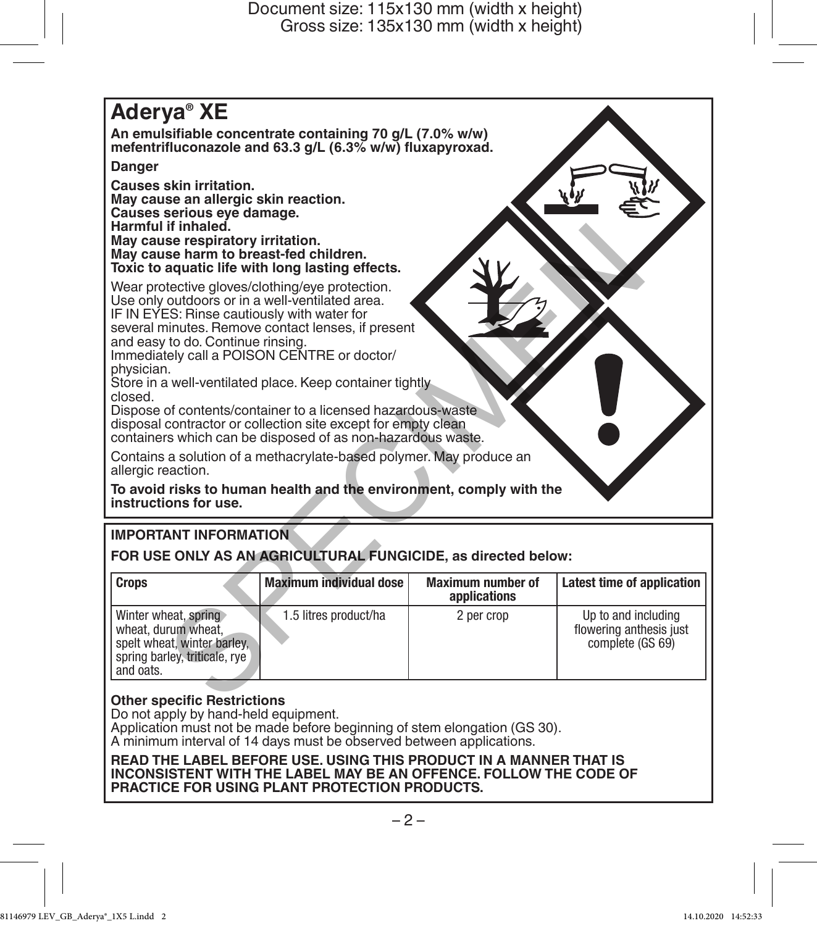# **Aderya® XE An emulsifiable concentrate containing 70 g/L (7.0% w/w) mefentrifluconazole and 63.3 g/L (6.3% w/w) fluxapyroxad. Danger Causes skin irritation. May cause an allergic skin reaction. Causes serious eye damage. Harmful if inhaled. May cause respiratory irritation. May cause harm to breast-fed children. Toxic to aquatic life with long lasting effects.** Wear protective gloves/clothing/eye protection. Use only outdoors or in a well-ventilated area. IF IN EYES: Rinse cautiously with water for several minutes. Remove contact lenses, if present and easy to do. Continue rinsing. Immediately call a POISON CENTRE or doctor/ physician. Store in a well-ventilated place. Keep container tightly closed. Dispose of contents/container to a licensed hazardous-waste disposal contractor or collection site except for empty clean containers which can be disposed of as non-hazardous waste. Contains a solution of a methacrylate-based polymer. May produce an allergic reaction. **To avoid risks to human health and the environment, comply with the instructions for use.** Finaled.<br>
See heart to breast-fed children.<br>
see respiratory irritation.<br>
aquatic life with long lasting effects.<br>
active gloves/clothing/eye protection.<br>
continues: Remove contact lenses, if present<br>
contaction conclusion

# **IMPORTANT INFORMATION**

**FOR USE ONLY AS AN AGRICULTURAL FUNGICIDE, as directed below:**

| <b>Crops</b>                                                                                                             | Maximum individual dose | Maximum number of<br>applications | Latest time of application                                         |
|--------------------------------------------------------------------------------------------------------------------------|-------------------------|-----------------------------------|--------------------------------------------------------------------|
| Winter wheat, spring<br>wheat, durum wheat.<br>spelt wheat, winter barley.<br>spring barley, triticale, rye<br>and oats. | 1.5 litres product/ha   | 2 per crop                        | Up to and including<br>flowering anthesis just<br>complete (GS 69) |

### **Other specific Restrictions**

Do not apply by hand-held equipment.

Application must not be made before beginning of stem elongation (GS 30). A minimum interval of 14 days must be observed between applications.

**READ THE LABEL BEFORE USE. USING THIS PRODUCT IN A MANNER THAT IS INCONSISTENT WITH THE LABEL MAY BE AN OFFENCE. FOLLOW THE CODE OF PRACTICE FOR USING PLANT PROTECTION PRODUCTS.**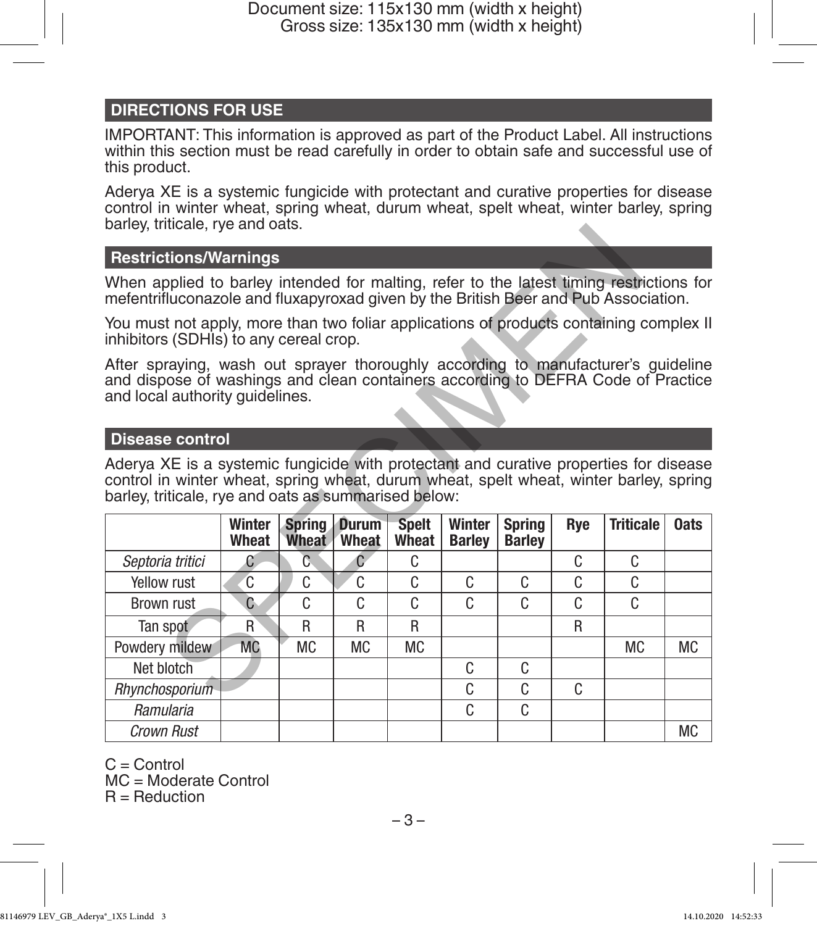# **DIRECTIONS FOR USE**

IMPORTANT: This information is approved as part of the Product Label. All instructions within this section must be read carefully in order to obtain safe and successful use of this product.

Aderya XE is a systemic fungicide with protectant and curative properties for disease control in winter wheat, spring wheat, durum wheat, spelt wheat, winter barley, spring barley, triticale, rye and oats.

### **Restrictions/Warnings**

### **Disease control**

| Daricy, triticale, i ye ariu Uats.                                                                                                                                                                                                      |           |               |              |              |               |               |         |                  |             |  |  |
|-----------------------------------------------------------------------------------------------------------------------------------------------------------------------------------------------------------------------------------------|-----------|---------------|--------------|--------------|---------------|---------------|---------|------------------|-------------|--|--|
| <b>Restrictions/Warnings</b>                                                                                                                                                                                                            |           |               |              |              |               |               |         |                  |             |  |  |
| When applied to barley intended for malting, refer to the latest timing restrictions for<br>mefentrifluconazole and fluxapyroxad given by the British Beer and Pub Association.                                                         |           |               |              |              |               |               |         |                  |             |  |  |
| You must not apply, more than two foliar applications of products containing complex II<br>inhibitors (SDHIs) to any cereal crop.                                                                                                       |           |               |              |              |               |               |         |                  |             |  |  |
| After spraying, wash out sprayer thoroughly according to manufacturer's guideline<br>and dispose of washings and clean containers according to DEFRA Code of Practice<br>and local authority quidelines.                                |           |               |              |              |               |               |         |                  |             |  |  |
| <b>Disease control</b>                                                                                                                                                                                                                  |           |               |              |              |               |               |         |                  |             |  |  |
| Aderya XE is a systemic fungicide with protectant and curative properties for disease<br>control in winter wheat, spring wheat, durum wheat, spelt wheat, winter barley, spring<br>barley, triticale, rye and oats as summarised below: |           |               |              |              |               |               |         |                  |             |  |  |
|                                                                                                                                                                                                                                         | Winter    | <b>Spring</b> | <b>Durum</b> | <b>Spelt</b> | Winter        | Spring        | Rye     | <b>Triticale</b> | <b>Oats</b> |  |  |
|                                                                                                                                                                                                                                         | Wheat     | Wheat         | Wheat        | Wheat        | <b>Barley</b> | <b>Barley</b> |         |                  |             |  |  |
| Septoria tritici<br>Yellow rust                                                                                                                                                                                                         | C<br>C    | C<br>C        | C<br>C       | C.<br>C      | C             | C             | C.<br>C | C.<br>C          |             |  |  |
| Brown rust                                                                                                                                                                                                                              | C         | C             | C            | C            | C             | C             | C       | C.               |             |  |  |
| Tan spot                                                                                                                                                                                                                                | R         | R             | R            | R            |               |               | R       |                  |             |  |  |
| Powdery mildew                                                                                                                                                                                                                          | <b>MC</b> | <b>MC</b>     | <b>MC</b>    | <b>MC</b>    |               |               |         | <b>MC</b>        | <b>MC</b>   |  |  |
| Net blotch                                                                                                                                                                                                                              |           |               |              |              | C             | C             |         |                  |             |  |  |
| Rhvnchosporium                                                                                                                                                                                                                          |           |               |              |              | C             | C             | C       |                  |             |  |  |
| Ramularia                                                                                                                                                                                                                               |           |               |              |              | C             | C             |         |                  |             |  |  |

 $C =$  Control

MC = Moderate Control

 $R = \text{Reduction}$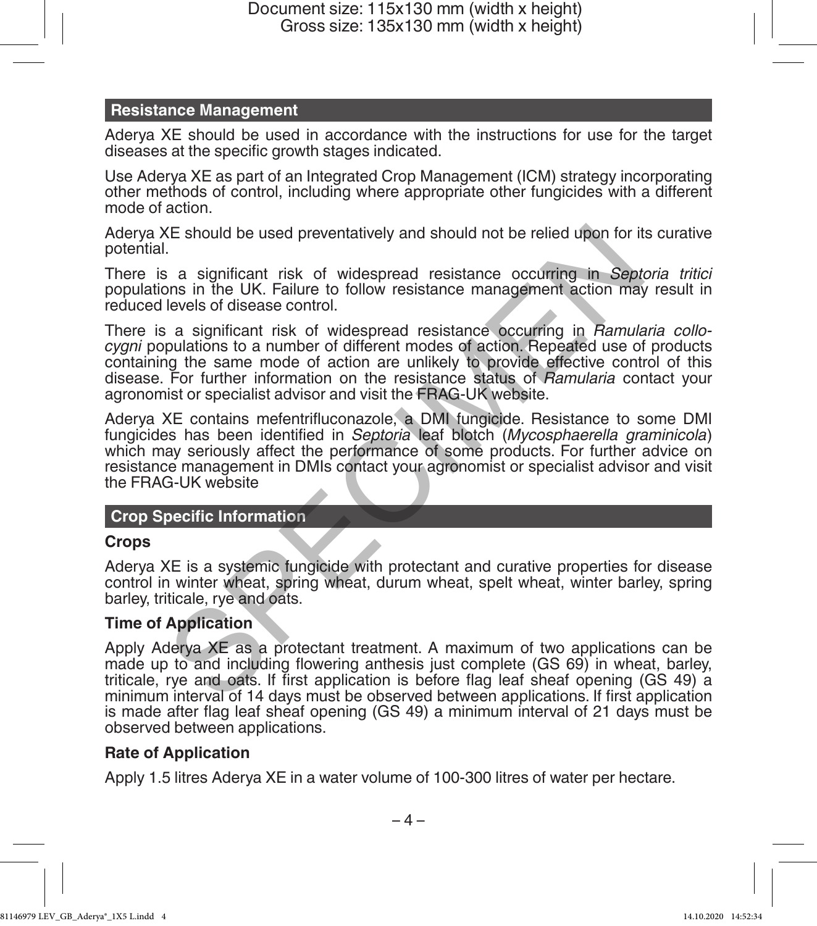# **Resistance Management**

Aderya XE should be used in accordance with the instructions for use for the target diseases at the specific growth stages indicated.

Use Aderya XE as part of an Integrated Crop Management (ICM) strategy incorporating other methods of control, including where appropriate other fungicides with a different mode of action.

Aderya XE should be used preventatively and should not be relied upon for its curative potential.

There is a significant risk of widespread resistance occurring in *Septoria tritici* populations in the UK. Failure to follow resistance management action may result in reduced levels of disease control.

There is a significant risk of widespread resistance occurring in *Ramularia collocygni* populations to a number of different modes of action. Repeated use of products containing the same mode of action are unlikely to provide effective control of this disease. For further information on the resistance status of *Ramularia* contact your agronomist or specialist advisor and visit the FRAG-UK website. KE should be used preventatively and should not be relied upon for it<br>
is a significant risk of widespread resistance occurring in *Sept*<br>
is a significant risk of widespread resistance cocurring in *Sept*<br>
levels of disea

Aderya XE contains mefentrifluconazole, a DMI fungicide. Resistance to some DMI fungicides has been identified in *Septoria* leaf blotch (*Mycosphaerella graminicola*) which may seriously affect the performance of some products. For further advice on resistance management in DMIs contact your agronomist or specialist advisor and visit the FRAG-UK website

# **Crop Specific Information**

# **Crops**

Aderya XE is a systemic fungicide with protectant and curative properties for disease control in winter wheat, spring wheat, durum wheat, spelt wheat, winter barley, spring barley, triticale, rye and oats.

# **Time of Application**

Apply Aderya XE as a protectant treatment. A maximum of two applications can be made up to and including flowering anthesis just complete (GS 69) in wheat, barley, triticale, rye and oats. If first application is before flag leaf sheaf opening (GS 49) a minimum interval of 14 days must be observed between applications. If first application is made after flag leaf sheaf opening (GS 49) a minimum interval of 21 days must be observed between applications.

# **Rate of Application**

Apply 1.5 litres Aderya XE in a water volume of 100-300 litres of water per hectare.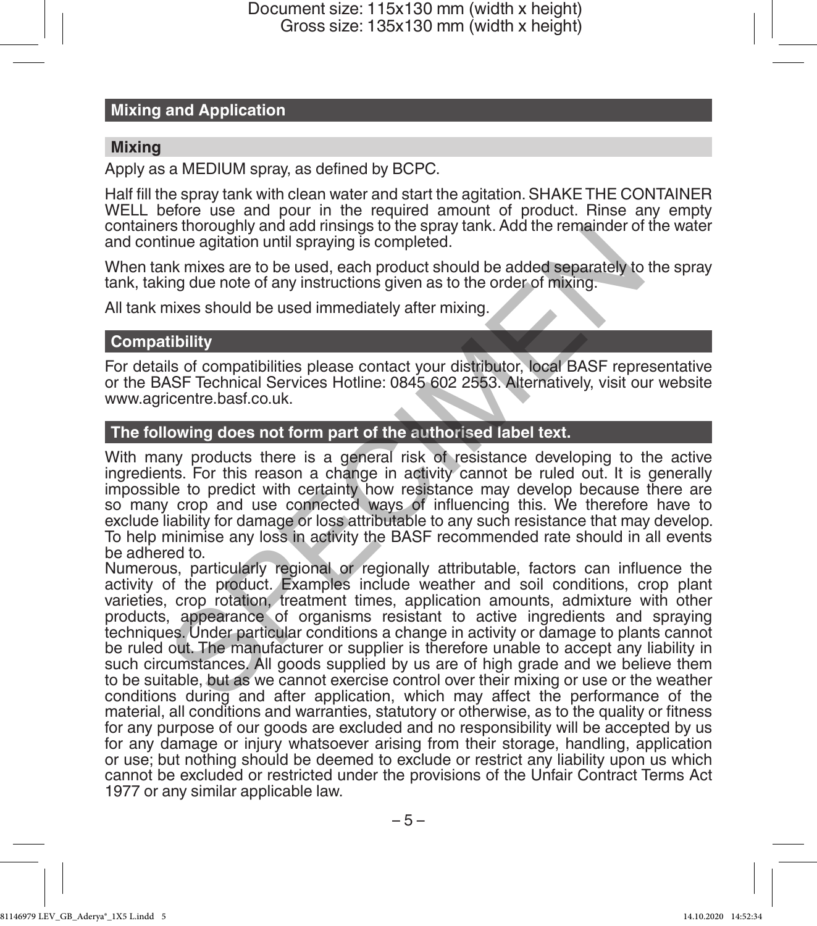# **Mixing and Application**

### **Mixing**

Apply as a MEDIUM spray, as defined by BCPC.

Half fill the spray tank with clean water and start the agitation. SHAKE THE CONTAINER WELL before use and pour in the required amount of product. Rinse any empty containers thoroughly and add rinsings to the spray tank. Add the remainder of the water and continue agitation until spraying is completed.

When tank mixes are to be used, each product should be added separately to the spray tank, taking due note of any instructions given as to the order of mixing.

All tank mixes should be used immediately after mixing.

### **Compatibility**

For details of compatibilities please contact your distributor, local BASF representative or the BASF Technical Services Hotline: 0845 602 2553. Alternatively, visit our website www.agricentre.basf.co.uk.

### **The following does not form part of the authorised label text.**

With many products there is a general risk of resistance developing to the active ingredients. For this reason a change in activity cannot be ruled out. It is generally impossible to predict with certainty how resistance may develop because there are so many crop and use connected ways of influencing this. We therefore have to exclude liability for damage or loss attributable to any such resistance that may develop. To help minimise any loss in activity the BASF recommended rate should in all events be adhered to.

Numerous, particularly regional or regionally attributable, factors can influence the activity of the product. Examples include weather and soil conditions, crop plant varieties, crop rotation, treatment times, application amounts, admixture with other products, appearance of organisms resistant to active ingredients and spraying techniques. Under particular conditions a change in activity or damage to plants cannot be ruled out. The manufacturer or supplier is therefore unable to accept any liability in such circumstances. All goods supplied by us are of high grade and we believe them to be suitable, but as we cannot exercise control over their mixing or use or the weather conditions during and after application, which may affect the performance of the material, all conditions and warranties, statutory or otherwise, as to the quality or fitness for any purpose of our goods are excluded and no responsibility will be accepted by us for any damage or injury whatsoever arising from their storage, handling, application or use; but nothing should be deemed to exclude or restrict any liability upon us which cannot be excluded or restricted under the provisions of the Unfair Contract Terms Act 1977 or any similar applicable law. is intoroughly and add missings to the spray tank. Aad the remainder of<br>since agitation until spraying is completed.<br>
Ink mixes are to be used, each product should be added separately to<br>
ing due note of any instructions g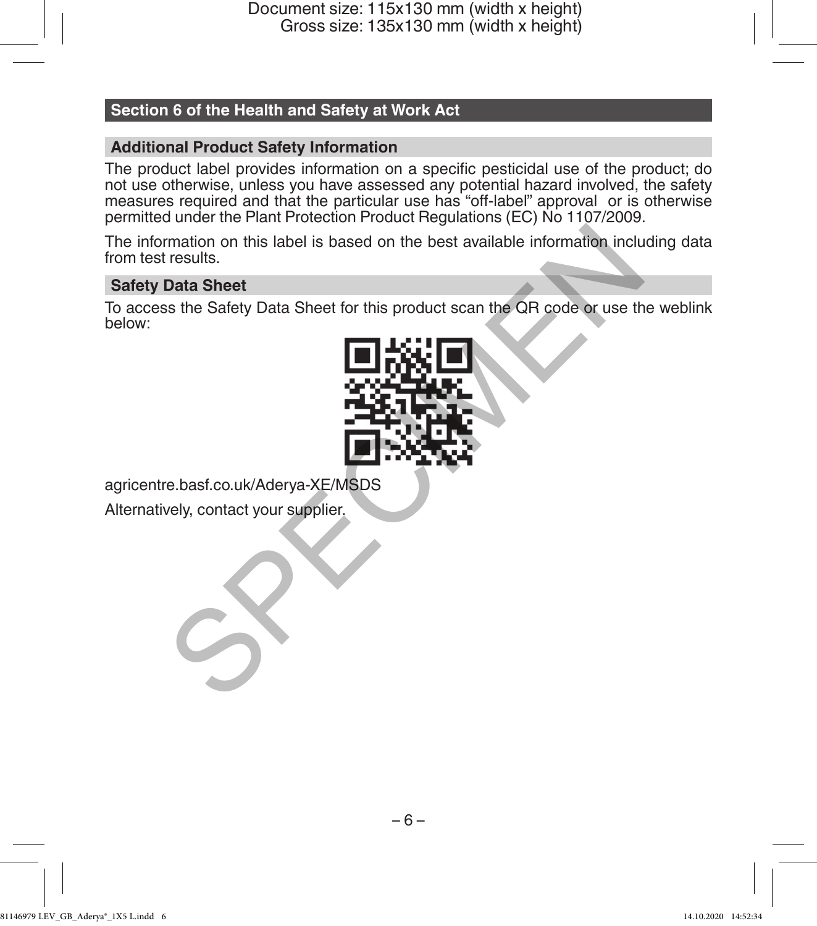# **Section 6 of the Health and Safety at Work Act**

# **Additional Product Safety Information**

The product label provides information on a specific pesticidal use of the product; do not use otherwise, unless you have assessed any potential hazard involved, the safety measures required and that the particular use has "off-label" approval or is otherwise permitted under the Plant Protection Product Regulations (EC) No 1107/2009.

The information on this label is based on the best available information including data from test results.

# **Safety Data Sheet**

To access the Safety Data Sheet for this product scan the QR code or use the weblink below:



agricentre.basf.co.uk/Aderya-XE/MSDS Alternatively, contact your supplier.